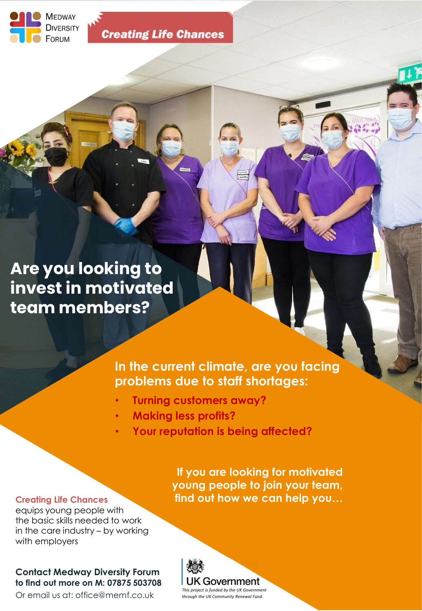

**Creating Life Chances** 

Are you looking to invest in motivated team members?

# In the current climate, are you facing problems due to staff shortages:

- Turning customers away?
- Making less profits?
- Your reputation is being affected?

### Creating Life Chances

equips young people with the basic skills needed to work with employers

# Contact Medway Diversity Forum to find out more on M: 07875 503708

Or email us at: office@memf.co.uk

In the current climate, are you facing<br>problems due to staff shortages:<br>
• Turning customers away?<br>
• Making less profits?<br>
• Your reputation is being affected?<br>
• Your reputation is being affected?<br>
If you are looking for If you are looking for motivated young people to join your team, find out how we can help you…